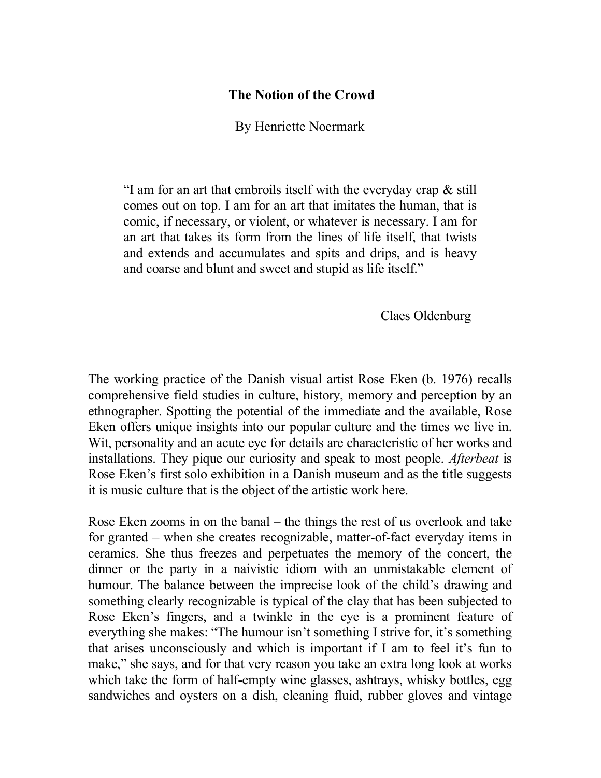## **The Notion of the Crowd**

By Henriette Noermark

"I am for an art that embroils itself with the everyday crap & still comes out on top. I am for an art that imitates the human, that is comic, if necessary, or violent, or whatever is necessary. I am for an art that takes its form from the lines of life itself, that twists and extends and accumulates and spits and drips, and is heavy and coarse and blunt and sweet and stupid as life itself."

Claes Oldenburg

The working practice of the Danish visual artist Rose Eken (b. 1976) recalls comprehensive field studies in culture, history, memory and perception by an ethnographer. Spotting the potential of the immediate and the available, Rose Eken offers unique insights into our popular culture and the times we live in. Wit, personality and an acute eye for details are characteristic of her works and installations. They pique our curiosity and speak to most people. *Afterbeat* is Rose Eken's first solo exhibition in a Danish museum and as the title suggests it is music culture that is the object of the artistic work here.

Rose Eken zooms in on the banal – the things the rest of us overlook and take for granted – when she creates recognizable, matter-of-fact everyday items in ceramics. She thus freezes and perpetuates the memory of the concert, the dinner or the party in a naivistic idiom with an unmistakable element of humour. The balance between the imprecise look of the child's drawing and something clearly recognizable is typical of the clay that has been subjected to Rose Eken's fingers, and a twinkle in the eye is a prominent feature of everything she makes: "The humour isn't something I strive for, it's something that arises unconsciously and which is important if I am to feel it's fun to make," she says, and for that very reason you take an extra long look at works which take the form of half-empty wine glasses, ashtrays, whisky bottles, egg sandwiches and oysters on a dish, cleaning fluid, rubber gloves and vintage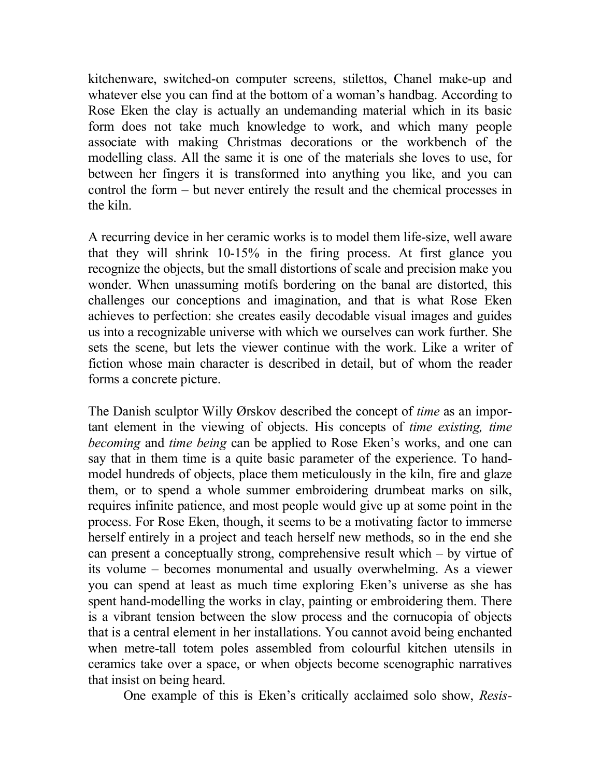kitchenware, switched-on computer screens, stilettos, Chanel make-up and whatever else you can find at the bottom of a woman's handbag. According to Rose Eken the clay is actually an undemanding material which in its basic form does not take much knowledge to work, and which many people associate with making Christmas decorations or the workbench of the modelling class. All the same it is one of the materials she loves to use, for between her fingers it is transformed into anything you like, and you can control the form – but never entirely the result and the chemical processes in the kiln.

A recurring device in her ceramic works is to model them life-size, well aware that they will shrink 10-15% in the firing process. At first glance you recognize the objects, but the small distortions of scale and precision make you wonder. When unassuming motifs bordering on the banal are distorted, this challenges our conceptions and imagination, and that is what Rose Eken achieves to perfection: she creates easily decodable visual images and guides us into a recognizable universe with which we ourselves can work further. She sets the scene, but lets the viewer continue with the work. Like a writer of fiction whose main character is described in detail, but of whom the reader forms a concrete picture.

The Danish sculptor Willy Ørskov described the concept of *time* as an important element in the viewing of objects. His concepts of *time existing, time becoming* and *time being* can be applied to Rose Eken's works, and one can say that in them time is a quite basic parameter of the experience. To handmodel hundreds of objects, place them meticulously in the kiln, fire and glaze them, or to spend a whole summer embroidering drumbeat marks on silk, requires infinite patience, and most people would give up at some point in the process. For Rose Eken, though, it seems to be a motivating factor to immerse herself entirely in a project and teach herself new methods, so in the end she can present a conceptually strong, comprehensive result which – by virtue of its volume – becomes monumental and usually overwhelming. As a viewer you can spend at least as much time exploring Eken's universe as she has spent hand-modelling the works in clay, painting or embroidering them. There is a vibrant tension between the slow process and the cornucopia of objects that is a central element in her installations. You cannot avoid being enchanted when metre-tall totem poles assembled from colourful kitchen utensils in ceramics take over a space, or when objects become scenographic narratives that insist on being heard.

One example of this is Eken's critically acclaimed solo show, *Resis-*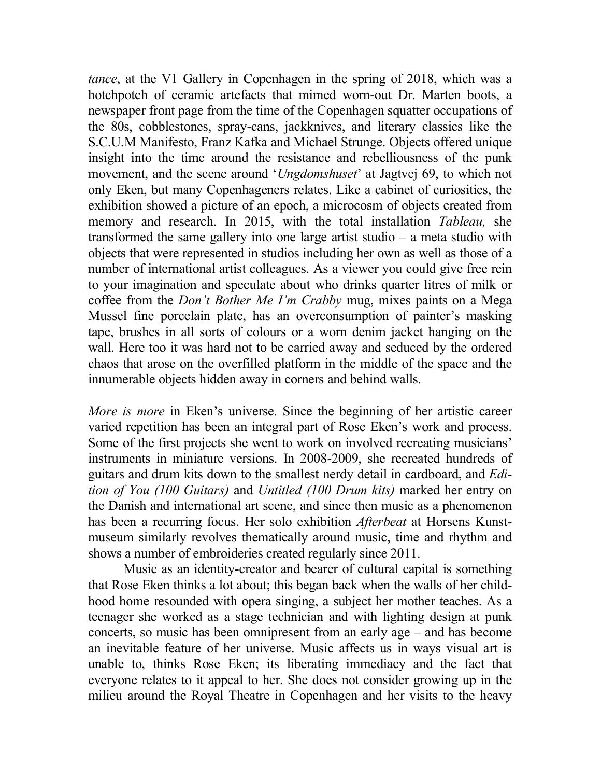*tance*, at the V1 Gallery in Copenhagen in the spring of 2018, which was a hotchpotch of ceramic artefacts that mimed worn-out Dr. Marten boots, a newspaper front page from the time of the Copenhagen squatter occupations of the 80s, cobblestones, spray-cans, jackknives, and literary classics like the S.C.U.M Manifesto, Franz Kafka and Michael Strunge. Objects offered unique insight into the time around the resistance and rebelliousness of the punk movement, and the scene around '*Ungdomshuset*' at Jagtvej 69, to which not only Eken, but many Copenhageners relates. Like a cabinet of curiosities, the exhibition showed a picture of an epoch, a microcosm of objects created from memory and research. In 2015, with the total installation *Tableau,* she transformed the same gallery into one large artist studio – a meta studio with objects that were represented in studios including her own as well as those of a number of international artist colleagues. As a viewer you could give free rein to your imagination and speculate about who drinks quarter litres of milk or coffee from the *Don't Bother Me I'm Crabby* mug, mixes paints on a Mega Mussel fine porcelain plate, has an overconsumption of painter's masking tape, brushes in all sorts of colours or a worn denim jacket hanging on the wall. Here too it was hard not to be carried away and seduced by the ordered chaos that arose on the overfilled platform in the middle of the space and the innumerable objects hidden away in corners and behind walls.

*More is more* in Eken's universe. Since the beginning of her artistic career varied repetition has been an integral part of Rose Eken's work and process. Some of the first projects she went to work on involved recreating musicians' instruments in miniature versions. In 2008-2009, she recreated hundreds of guitars and drum kits down to the smallest nerdy detail in cardboard, and *Edition of You (100 Guitars)* and *Untitled (100 Drum kits)* marked her entry on the Danish and international art scene, and since then music as a phenomenon has been a recurring focus. Her solo exhibition *Afterbeat* at Horsens Kunstmuseum similarly revolves thematically around music, time and rhythm and shows a number of embroideries created regularly since 2011.

Music as an identity-creator and bearer of cultural capital is something that Rose Eken thinks a lot about; this began back when the walls of her childhood home resounded with opera singing, a subject her mother teaches. As a teenager she worked as a stage technician and with lighting design at punk concerts, so music has been omnipresent from an early age – and has become an inevitable feature of her universe. Music affects us in ways visual art is unable to, thinks Rose Eken; its liberating immediacy and the fact that everyone relates to it appeal to her. She does not consider growing up in the milieu around the Royal Theatre in Copenhagen and her visits to the heavy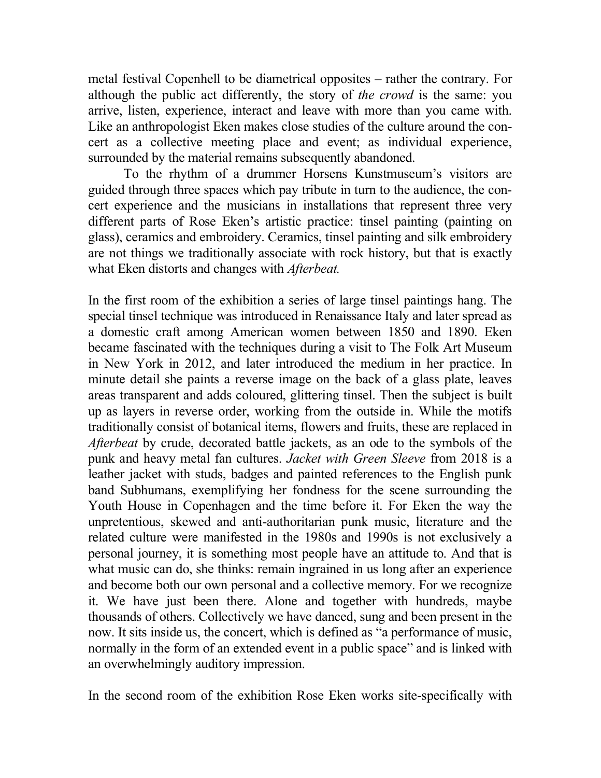metal festival Copenhell to be diametrical opposites – rather the contrary. For although the public act differently, the story of *the crowd* is the same: you arrive, listen, experience, interact and leave with more than you came with. Like an anthropologist Eken makes close studies of the culture around the concert as a collective meeting place and event; as individual experience, surrounded by the material remains subsequently abandoned.

To the rhythm of a drummer Horsens Kunstmuseum's visitors are guided through three spaces which pay tribute in turn to the audience, the concert experience and the musicians in installations that represent three very different parts of Rose Eken's artistic practice: tinsel painting (painting on glass), ceramics and embroidery. Ceramics, tinsel painting and silk embroidery are not things we traditionally associate with rock history, but that is exactly what Eken distorts and changes with *Afterbeat.* 

In the first room of the exhibition a series of large tinsel paintings hang. The special tinsel technique was introduced in Renaissance Italy and later spread as a domestic craft among American women between 1850 and 1890. Eken became fascinated with the techniques during a visit to The Folk Art Museum in New York in 2012, and later introduced the medium in her practice. In minute detail she paints a reverse image on the back of a glass plate, leaves areas transparent and adds coloured, glittering tinsel. Then the subject is built up as layers in reverse order, working from the outside in. While the motifs traditionally consist of botanical items, flowers and fruits, these are replaced in *Afterbeat* by crude, decorated battle jackets, as an ode to the symbols of the punk and heavy metal fan cultures. *Jacket with Green Sleeve* from 2018 is a leather jacket with studs, badges and painted references to the English punk band Subhumans, exemplifying her fondness for the scene surrounding the Youth House in Copenhagen and the time before it. For Eken the way the unpretentious, skewed and anti-authoritarian punk music, literature and the related culture were manifested in the 1980s and 1990s is not exclusively a personal journey, it is something most people have an attitude to. And that is what music can do, she thinks: remain ingrained in us long after an experience and become both our own personal and a collective memory. For we recognize it. We have just been there. Alone and together with hundreds, maybe thousands of others. Collectively we have danced, sung and been present in the now. It sits inside us, the concert, which is defined as "a performance of music, normally in the form of an extended event in a public space" and is linked with an overwhelmingly auditory impression.

In the second room of the exhibition Rose Eken works site-specifically with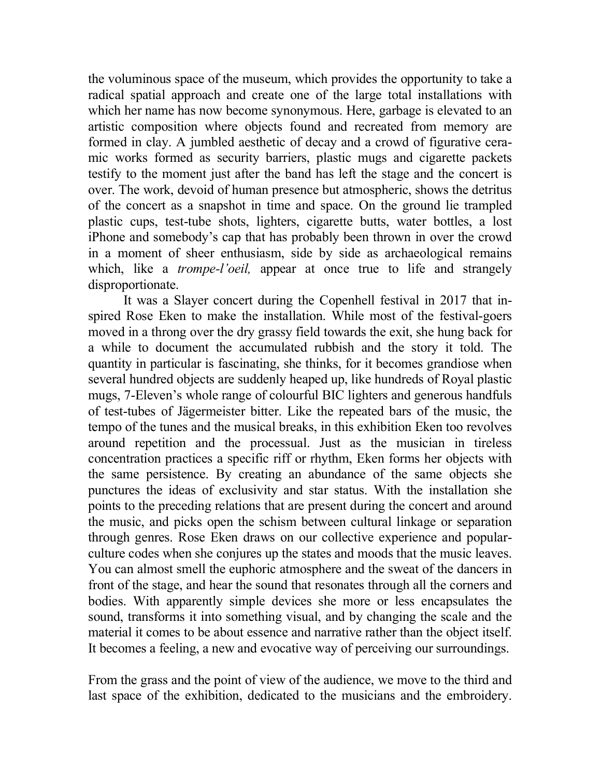the voluminous space of the museum, which provides the opportunity to take a radical spatial approach and create one of the large total installations with which her name has now become synonymous. Here, garbage is elevated to an artistic composition where objects found and recreated from memory are formed in clay. A jumbled aesthetic of decay and a crowd of figurative ceramic works formed as security barriers, plastic mugs and cigarette packets testify to the moment just after the band has left the stage and the concert is over. The work, devoid of human presence but atmospheric, shows the detritus of the concert as a snapshot in time and space. On the ground lie trampled plastic cups, test-tube shots, lighters, cigarette butts, water bottles, a lost iPhone and somebody's cap that has probably been thrown in over the crowd in a moment of sheer enthusiasm, side by side as archaeological remains which, like a *trompe-l'oeil,* appear at once true to life and strangely disproportionate.

It was a Slayer concert during the Copenhell festival in 2017 that inspired Rose Eken to make the installation. While most of the festival-goers moved in a throng over the dry grassy field towards the exit, she hung back for a while to document the accumulated rubbish and the story it told. The quantity in particular is fascinating, she thinks, for it becomes grandiose when several hundred objects are suddenly heaped up, like hundreds of Royal plastic mugs, 7-Eleven's whole range of colourful BIC lighters and generous handfuls of test-tubes of Jägermeister bitter. Like the repeated bars of the music, the tempo of the tunes and the musical breaks, in this exhibition Eken too revolves around repetition and the processual. Just as the musician in tireless concentration practices a specific riff or rhythm, Eken forms her objects with the same persistence. By creating an abundance of the same objects she punctures the ideas of exclusivity and star status. With the installation she points to the preceding relations that are present during the concert and around the music, and picks open the schism between cultural linkage or separation through genres. Rose Eken draws on our collective experience and popularculture codes when she conjures up the states and moods that the music leaves. You can almost smell the euphoric atmosphere and the sweat of the dancers in front of the stage, and hear the sound that resonates through all the corners and bodies. With apparently simple devices she more or less encapsulates the sound, transforms it into something visual, and by changing the scale and the material it comes to be about essence and narrative rather than the object itself. It becomes a feeling, a new and evocative way of perceiving our surroundings.

From the grass and the point of view of the audience, we move to the third and last space of the exhibition, dedicated to the musicians and the embroidery.